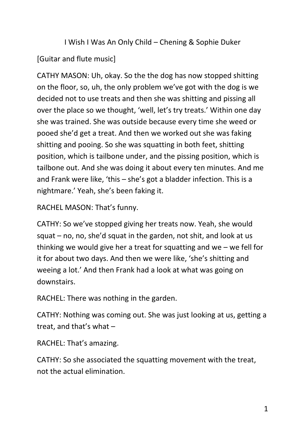I Wish I Was An Only Child – Chening & Sophie Duker

# [Guitar and flute music]

CATHY MASON: Uh, okay. So the the dog has now stopped shitting on the floor, so, uh, the only problem we've got with the dog is we decided not to use treats and then she was shitting and pissing all over the place so we thought, 'well, let's try treats.' Within one day she was trained. She was outside because every time she weed or pooed she'd get a treat. And then we worked out she was faking shitting and pooing. So she was squatting in both feet, shitting position, which is tailbone under, and the pissing position, which is tailbone out. And she was doing it about every ten minutes. And me and Frank were like, 'this – she's got a bladder infection. This is a nightmare.' Yeah, she's been faking it.

RACHEL MASON: That's funny.

CATHY: So we've stopped giving her treats now. Yeah, she would squat – no, no, she'd squat in the garden, not shit, and look at us thinking we would give her a treat for squatting and we – we fell for it for about two days. And then we were like, 'she's shitting and weeing a lot.' And then Frank had a look at what was going on downstairs.

RACHEL: There was nothing in the garden.

CATHY: Nothing was coming out. She was just looking at us, getting a treat, and that's what –

RACHEL: That's amazing.

CATHY: So she associated the squatting movement with the treat, not the actual elimination.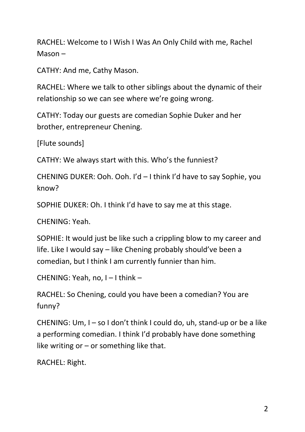RACHEL: Welcome to I Wish I Was An Only Child with me, Rachel Mason –

CATHY: And me, Cathy Mason.

RACHEL: Where we talk to other siblings about the dynamic of their relationship so we can see where we're going wrong.

CATHY: Today our guests are comedian Sophie Duker and her brother, entrepreneur Chening.

[Flute sounds]

CATHY: We always start with this. Who's the funniest?

CHENING DUKER: Ooh. Ooh. I'd – I think I'd have to say Sophie, you know?

SOPHIE DUKER: Oh. I think I'd have to say me at this stage.

CHENING: Yeah.

SOPHIE: It would just be like such a crippling blow to my career and life. Like I would say – like Chening probably should've been a comedian, but I think I am currently funnier than him.

CHENING: Yeah, no, I – I think –

RACHEL: So Chening, could you have been a comedian? You are funny?

CHENING: Um, I – so I don't think I could do, uh, stand-up or be a like a performing comedian. I think I'd probably have done something like writing or  $-$  or something like that.

RACHEL: Right.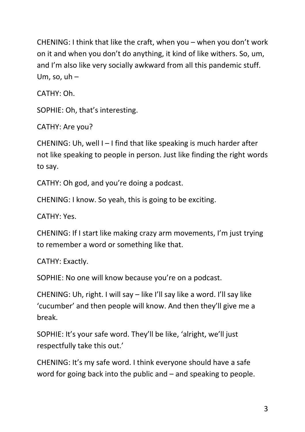CHENING: I think that like the craft, when you – when you don't work on it and when you don't do anything, it kind of like withers. So, um, and I'm also like very socially awkward from all this pandemic stuff. Um, so,  $uh -$ 

CATHY: Oh.

SOPHIE: Oh, that's interesting.

CATHY: Are you?

CHENING: Uh, well I – I find that like speaking is much harder after not like speaking to people in person. Just like finding the right words to say.

CATHY: Oh god, and you're doing a podcast.

CHENING: I know. So yeah, this is going to be exciting.

CATHY: Yes.

CHENING: If I start like making crazy arm movements, I'm just trying to remember a word or something like that.

CATHY: Exactly.

SOPHIE: No one will know because you're on a podcast.

CHENING: Uh, right. I will say – like I'll say like a word. I'll say like 'cucumber' and then people will know. And then they'll give me a break.

SOPHIE: It's your safe word. They'll be like, 'alright, we'll just respectfully take this out.'

CHENING: It's my safe word. I think everyone should have a safe word for going back into the public and – and speaking to people.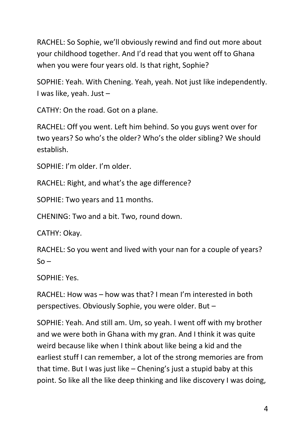RACHEL: So Sophie, we'll obviously rewind and find out more about your childhood together. And I'd read that you went off to Ghana when you were four years old. Is that right, Sophie?

SOPHIE: Yeah. With Chening. Yeah, yeah. Not just like independently. I was like, yeah. Just –

CATHY: On the road. Got on a plane.

RACHEL: Off you went. Left him behind. So you guys went over for two years? So who's the older? Who's the older sibling? We should establish.

SOPHIE: I'm older. I'm older.

RACHEL: Right, and what's the age difference?

SOPHIE: Two years and 11 months.

CHENING: Two and a bit. Two, round down.

CATHY: Okay.

RACHEL: So you went and lived with your nan for a couple of years?  $S<sub>O</sub>$ 

SOPHIE: Yes.

RACHEL: How was – how was that? I mean I'm interested in both perspectives. Obviously Sophie, you were older. But –

SOPHIE: Yeah. And still am. Um, so yeah. I went off with my brother and we were both in Ghana with my gran. And I think it was quite weird because like when I think about like being a kid and the earliest stuff I can remember, a lot of the strong memories are from that time. But I was just like – Chening's just a stupid baby at this point. So like all the like deep thinking and like discovery I was doing,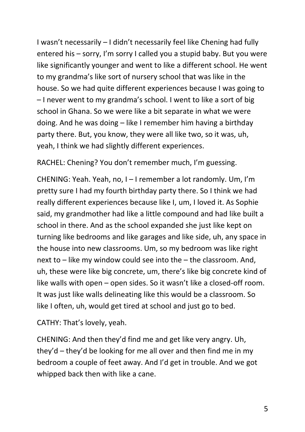I wasn't necessarily – I didn't necessarily feel like Chening had fully entered his – sorry, I'm sorry I called you a stupid baby. But you were like significantly younger and went to like a different school. He went to my grandma's like sort of nursery school that was like in the house. So we had quite different experiences because I was going to – I never went to my grandma's school. I went to like a sort of big school in Ghana. So we were like a bit separate in what we were doing. And he was doing – like I remember him having a birthday party there. But, you know, they were all like two, so it was, uh, yeah, I think we had slightly different experiences.

RACHEL: Chening? You don't remember much, I'm guessing.

CHENING: Yeah. Yeah, no, I – I remember a lot randomly. Um, I'm pretty sure I had my fourth birthday party there. So I think we had really different experiences because like I, um, I loved it. As Sophie said, my grandmother had like a little compound and had like built a school in there. And as the school expanded she just like kept on turning like bedrooms and like garages and like side, uh, any space in the house into new classrooms. Um, so my bedroom was like right next to – like my window could see into the – the classroom. And, uh, these were like big concrete, um, there's like big concrete kind of like walls with open – open sides. So it wasn't like a closed-off room. It was just like walls delineating like this would be a classroom. So like I often, uh, would get tired at school and just go to bed.

CATHY: That's lovely, yeah.

CHENING: And then they'd find me and get like very angry. Uh, they'd – they'd be looking for me all over and then find me in my bedroom a couple of feet away. And I'd get in trouble. And we got whipped back then with like a cane.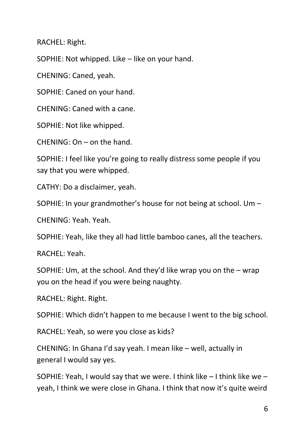RACHEL: Right.

SOPHIE: Not whipped. Like – like on your hand.

CHENING: Caned, yeah.

SOPHIE: Caned on your hand.

CHENING: Caned with a cane.

SOPHIE: Not like whipped.

CHENING: On – on the hand.

SOPHIE: I feel like you're going to really distress some people if you say that you were whipped.

CATHY: Do a disclaimer, yeah.

SOPHIE: In your grandmother's house for not being at school. Um –

CHENING: Yeah. Yeah.

SOPHIE: Yeah, like they all had little bamboo canes, all the teachers.

RACHEL: Yeah.

SOPHIE: Um, at the school. And they'd like wrap you on the – wrap you on the head if you were being naughty.

RACHEL: Right. Right.

SOPHIE: Which didn't happen to me because I went to the big school.

RACHEL: Yeah, so were you close as kids?

CHENING: In Ghana I'd say yeah. I mean like – well, actually in general I would say yes.

SOPHIE: Yeah, I would say that we were. I think like  $-1$  think like we  $$ yeah, I think we were close in Ghana. I think that now it's quite weird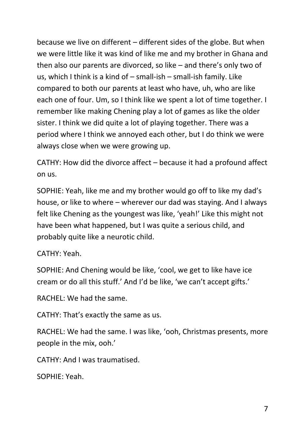because we live on different – different sides of the globe. But when we were little like it was kind of like me and my brother in Ghana and then also our parents are divorced, so like – and there's only two of us, which I think is a kind of – small-ish – small-ish family. Like compared to both our parents at least who have, uh, who are like each one of four. Um, so I think like we spent a lot of time together. I remember like making Chening play a lot of games as like the older sister. I think we did quite a lot of playing together. There was a period where I think we annoyed each other, but I do think we were always close when we were growing up.

CATHY: How did the divorce affect – because it had a profound affect on us.

SOPHIE: Yeah, like me and my brother would go off to like my dad's house, or like to where – wherever our dad was staying. And I always felt like Chening as the youngest was like, 'yeah!' Like this might not have been what happened, but I was quite a serious child, and probably quite like a neurotic child.

# CATHY: Yeah.

SOPHIE: And Chening would be like, 'cool, we get to like have ice cream or do all this stuff.' And I'd be like, 'we can't accept gifts.'

RACHEL: We had the same.

CATHY: That's exactly the same as us.

RACHEL: We had the same. I was like, 'ooh, Christmas presents, more people in the mix, ooh.'

CATHY: And I was traumatised.

SOPHIE: Yeah.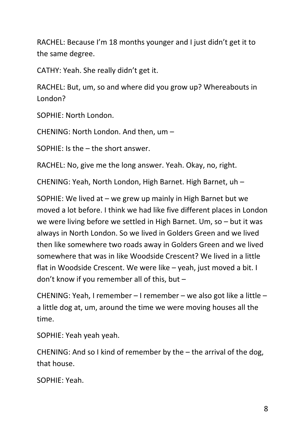RACHEL: Because I'm 18 months younger and I just didn't get it to the same degree.

CATHY: Yeah. She really didn't get it.

RACHEL: But, um, so and where did you grow up? Whereabouts in London?

SOPHIE: North London.

CHENING: North London. And then, um –

SOPHIE: Is the – the short answer.

RACHEL: No, give me the long answer. Yeah. Okay, no, right.

CHENING: Yeah, North London, High Barnet. High Barnet, uh –

SOPHIE: We lived at – we grew up mainly in High Barnet but we moved a lot before. I think we had like five different places in London we were living before we settled in High Barnet. Um, so – but it was always in North London. So we lived in Golders Green and we lived then like somewhere two roads away in Golders Green and we lived somewhere that was in like Woodside Crescent? We lived in a little flat in Woodside Crescent. We were like – yeah, just moved a bit. I don't know if you remember all of this, but –

CHENING: Yeah, I remember – I remember – we also got like a little – a little dog at, um, around the time we were moving houses all the time.

SOPHIE: Yeah yeah yeah.

CHENING: And so I kind of remember by the – the arrival of the dog, that house.

SOPHIE: Yeah.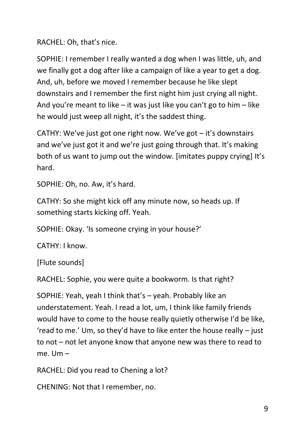RACHEL: Oh, that's nice.

SOPHIE: I remember I really wanted a dog when I was little, uh, and we finally got a dog after like a campaign of like a year to get a dog. And, uh, before we moved I remember because he like slept downstairs and I remember the first night him just crying all night. And you're meant to like – it was just like you can't go to him – like he would just weep all night, it's the saddest thing.

CATHY: We've just got one right now. We've got – it's downstairs and we've just got it and we're just going through that. It's making both of us want to jump out the window. [imitates puppy crying] It's hard.

SOPHIE: Oh, no. Aw, it's hard.

CATHY: So she might kick off any minute now, so heads up. If something starts kicking off. Yeah.

SOPHIE: Okay. 'Is someone crying in your house?'

CATHY: I know.

[Flute sounds]

RACHEL: Sophie, you were quite a bookworm. Is that right?

SOPHIE: Yeah, yeah I think that's – yeah. Probably like an understatement. Yeah. I read a lot, um, I think like family friends would have to come to the house really quietly otherwise I'd be like, 'read to me.' Um, so they'd have to like enter the house really – just to not – not let anyone know that anyone new was there to read to me. Um –

RACHEL: Did you read to Chening a lot?

CHENING: Not that I remember, no.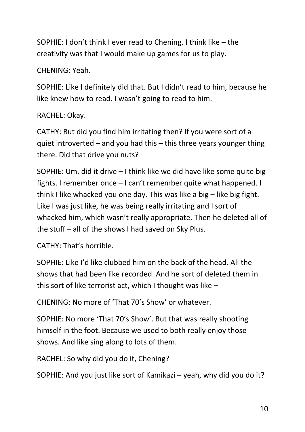SOPHIE: I don't think I ever read to Chening. I think like – the creativity was that I would make up games for us to play.

## CHENING: Yeah.

SOPHIE: Like I definitely did that. But I didn't read to him, because he like knew how to read. I wasn't going to read to him.

## RACHEL: Okay.

CATHY: But did you find him irritating then? If you were sort of a quiet introverted – and you had this – this three years younger thing there. Did that drive you nuts?

SOPHIE: Um, did it drive – I think like we did have like some quite big fights. I remember once – I can't remember quite what happened. I think I like whacked you one day. This was like a big – like big fight. Like I was just like, he was being really irritating and I sort of whacked him, which wasn't really appropriate. Then he deleted all of the stuff – all of the shows I had saved on Sky Plus.

CATHY: That's horrible.

SOPHIE: Like I'd like clubbed him on the back of the head. All the shows that had been like recorded. And he sort of deleted them in this sort of like terrorist act, which I thought was like –

CHENING: No more of 'That 70's Show' or whatever.

SOPHIE: No more 'That 70's Show'. But that was really shooting himself in the foot. Because we used to both really enjoy those shows. And like sing along to lots of them.

RACHEL: So why did you do it, Chening?

SOPHIE: And you just like sort of Kamikazi – yeah, why did you do it?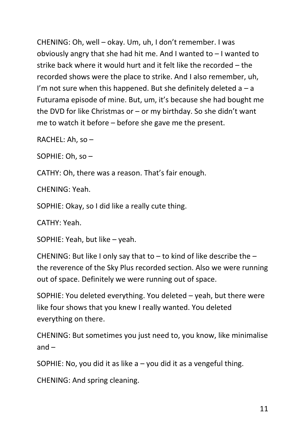CHENING: Oh, well – okay. Um, uh, I don't remember. I was obviously angry that she had hit me. And I wanted to – I wanted to strike back where it would hurt and it felt like the recorded – the recorded shows were the place to strike. And I also remember, uh, I'm not sure when this happened. But she definitely deleted  $a - a$ Futurama episode of mine. But, um, it's because she had bought me the DVD for like Christmas or – or my birthday. So she didn't want me to watch it before – before she gave me the present.

RACHEL: Ah, so –

SOPHIE: Oh, so –

CATHY: Oh, there was a reason. That's fair enough.

CHENING: Yeah.

SOPHIE: Okay, so I did like a really cute thing.

CATHY: Yeah.

SOPHIE: Yeah, but like – yeah.

CHENING: But like I only say that to  $-$  to kind of like describe the  $$ the reverence of the Sky Plus recorded section. Also we were running out of space. Definitely we were running out of space.

SOPHIE: You deleted everything. You deleted – yeah, but there were like four shows that you knew I really wanted. You deleted everything on there.

CHENING: But sometimes you just need to, you know, like minimalise and –

SOPHIE: No, you did it as like  $a - y$ ou did it as a vengeful thing.

CHENING: And spring cleaning.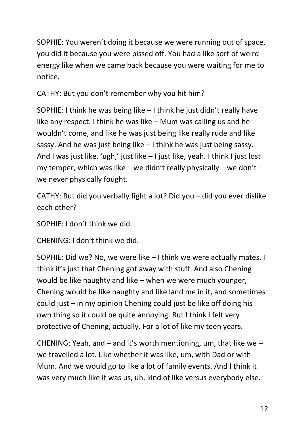SOPHIE: You weren't doing it because we were running out of space, you did it because you were pissed off. You had a like sort of weird energy like when we came back because you were waiting for me to notice.

CATHY: But you don't remember why you hit him?

SOPHIE: I think he was being like – I think he just didn't really have like any respect. I think he was like – Mum was calling us and he wouldn't come, and like he was just being like really rude and like sassy. And he was just being like – I think he was just being sassy. And I was just like, 'ugh,' just like – I just like, yeah. I think I just lost my temper, which was like – we didn't really physically – we don't – we never physically fought.

CATHY: But did you verbally fight a lot? Did you – did you ever dislike each other?

SOPHIE: I don't think we did.

CHENING: I don't think we did.

SOPHIE: Did we? No, we were like – I think we were actually mates. I think it's just that Chening got away with stuff. And also Chening would be like naughty and like – when we were much younger, Chening would be like naughty and like land me in it, and sometimes could just – in my opinion Chening could just be like off doing his own thing so it could be quite annoying. But I think I felt very protective of Chening, actually. For a lot of like my teen years.

CHENING: Yeah, and – and it's worth mentioning, um, that like we – we travelled a lot. Like whether it was like, um, with Dad or with Mum. And we would go to like a lot of family events. And I think it was very much like it was us, uh, kind of like versus everybody else.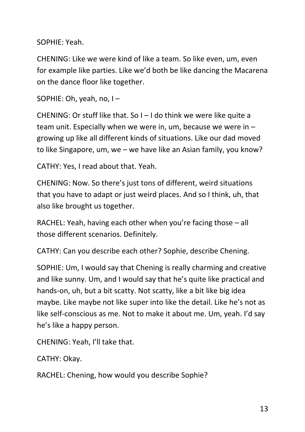SOPHIE: Yeah.

CHENING: Like we were kind of like a team. So like even, um, even for example like parties. Like we'd both be like dancing the Macarena on the dance floor like together.

```
SOPHIE: Oh, yeah, no, I –
```
CHENING: Or stuff like that. So I – I do think we were like quite a team unit. Especially when we were in, um, because we were in – growing up like all different kinds of situations. Like our dad moved to like Singapore, um, we – we have like an Asian family, you know?

CATHY: Yes, I read about that. Yeah.

CHENING: Now. So there's just tons of different, weird situations that you have to adapt or just weird places. And so I think, uh, that also like brought us together.

RACHEL: Yeah, having each other when you're facing those – all those different scenarios. Definitely.

CATHY: Can you describe each other? Sophie, describe Chening.

SOPHIE: Um, I would say that Chening is really charming and creative and like sunny. Um, and I would say that he's quite like practical and hands-on, uh, but a bit scatty. Not scatty, like a bit like big idea maybe. Like maybe not like super into like the detail. Like he's not as like self-conscious as me. Not to make it about me. Um, yeah. I'd say he's like a happy person.

CHENING: Yeah, I'll take that.

CATHY: Okay.

RACHEL: Chening, how would you describe Sophie?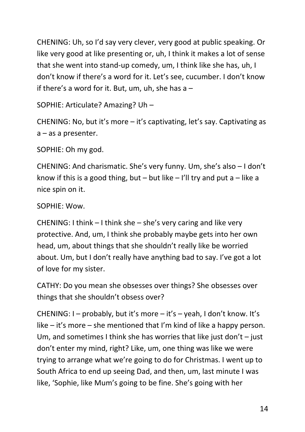CHENING: Uh, so I'd say very clever, very good at public speaking. Or like very good at like presenting or, uh, I think it makes a lot of sense that she went into stand-up comedy, um, I think like she has, uh, I don't know if there's a word for it. Let's see, cucumber. I don't know if there's a word for it. But, um, uh, she has  $a -$ 

SOPHIE: Articulate? Amazing? Uh –

CHENING: No, but it's more – it's captivating, let's say. Captivating as a – as a presenter.

SOPHIE: Oh my god.

CHENING: And charismatic. She's very funny. Um, she's also – I don't know if this is a good thing, but – but like – I'll try and put a – like a nice spin on it.

SOPHIE: Wow.

CHENING: I think – I think she – she's very caring and like very protective. And, um, I think she probably maybe gets into her own head, um, about things that she shouldn't really like be worried about. Um, but I don't really have anything bad to say. I've got a lot of love for my sister.

CATHY: Do you mean she obsesses over things? She obsesses over things that she shouldn't obsess over?

CHENING: I – probably, but it's more – it's – yeah, I don't know. It's like – it's more – she mentioned that I'm kind of like a happy person. Um, and sometimes I think she has worries that like just don't  $-$  just don't enter my mind, right? Like, um, one thing was like we were trying to arrange what we're going to do for Christmas. I went up to South Africa to end up seeing Dad, and then, um, last minute I was like, 'Sophie, like Mum's going to be fine. She's going with her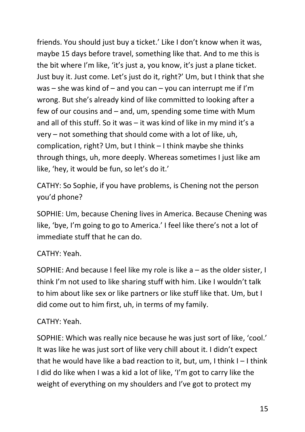friends. You should just buy a ticket.' Like I don't know when it was, maybe 15 days before travel, something like that. And to me this is the bit where I'm like, 'it's just a, you know, it's just a plane ticket. Just buy it. Just come. Let's just do it, right?' Um, but I think that she was – she was kind of – and you can – you can interrupt me if I'm wrong. But she's already kind of like committed to looking after a few of our cousins and – and, um, spending some time with Mum and all of this stuff. So it was – it was kind of like in my mind it's a very – not something that should come with a lot of like, uh, complication, right? Um, but I think – I think maybe she thinks through things, uh, more deeply. Whereas sometimes I just like am like, 'hey, it would be fun, so let's do it.'

CATHY: So Sophie, if you have problems, is Chening not the person you'd phone?

SOPHIE: Um, because Chening lives in America. Because Chening was like, 'bye, I'm going to go to America.' I feel like there's not a lot of immediate stuff that he can do.

# CATHY: Yeah.

SOPHIE: And because I feel like my role is like a – as the older sister, I think I'm not used to like sharing stuff with him. Like I wouldn't talk to him about like sex or like partners or like stuff like that. Um, but I did come out to him first, uh, in terms of my family.

## CATHY: Yeah.

SOPHIE: Which was really nice because he was just sort of like, 'cool.' It was like he was just sort of like very chill about it. I didn't expect that he would have like a bad reaction to it, but, um, I think I – I think I did do like when I was a kid a lot of like, 'I'm got to carry like the weight of everything on my shoulders and I've got to protect my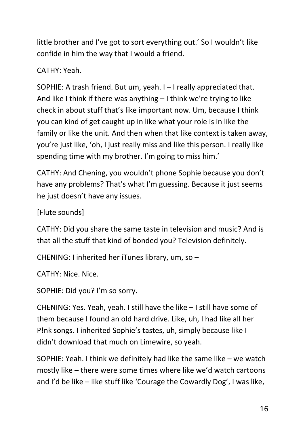little brother and I've got to sort everything out.' So I wouldn't like confide in him the way that I would a friend.

# CATHY: Yeah.

SOPHIE: A trash friend. But um, yeah. I – I really appreciated that. And like I think if there was anything – I think we're trying to like check in about stuff that's like important now. Um, because I think you can kind of get caught up in like what your role is in like the family or like the unit. And then when that like context is taken away, you're just like, 'oh, I just really miss and like this person. I really like spending time with my brother. I'm going to miss him.'

CATHY: And Chening, you wouldn't phone Sophie because you don't have any problems? That's what I'm guessing. Because it just seems he just doesn't have any issues.

[Flute sounds]

CATHY: Did you share the same taste in television and music? And is that all the stuff that kind of bonded you? Television definitely.

CHENING: I inherited her iTunes library, um, so –

CATHY: Nice. Nice.

SOPHIE: Did you? I'm so sorry.

CHENING: Yes. Yeah, yeah. I still have the like – I still have some of them because I found an old hard drive. Like, uh, I had like all her P!nk songs. I inherited Sophie's tastes, uh, simply because like I didn't download that much on Limewire, so yeah.

SOPHIE: Yeah. I think we definitely had like the same like – we watch mostly like – there were some times where like we'd watch cartoons and I'd be like – like stuff like 'Courage the Cowardly Dog', I was like,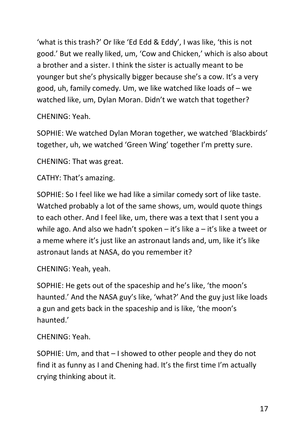'what is this trash?' Or like 'Ed Edd & Eddy', I was like, 'this is not good.' But we really liked, um, 'Cow and Chicken,' which is also about a brother and a sister. I think the sister is actually meant to be younger but she's physically bigger because she's a cow. It's a very good, uh, family comedy. Um, we like watched like loads of – we watched like, um, Dylan Moran. Didn't we watch that together?

CHENING: Yeah.

SOPHIE: We watched Dylan Moran together, we watched 'Blackbirds' together, uh, we watched 'Green Wing' together I'm pretty sure.

CHENING: That was great.

CATHY: That's amazing.

SOPHIE: So I feel like we had like a similar comedy sort of like taste. Watched probably a lot of the same shows, um, would quote things to each other. And I feel like, um, there was a text that I sent you a while ago. And also we hadn't spoken  $-$  it's like a  $-$  it's like a tweet or a meme where it's just like an astronaut lands and, um, like it's like astronaut lands at NASA, do you remember it?

CHENING: Yeah, yeah.

SOPHIE: He gets out of the spaceship and he's like, 'the moon's haunted.' And the NASA guy's like, 'what?' And the guy just like loads a gun and gets back in the spaceship and is like, 'the moon's haunted.'

CHENING: Yeah.

SOPHIE: Um, and that – I showed to other people and they do not find it as funny as I and Chening had. It's the first time I'm actually crying thinking about it.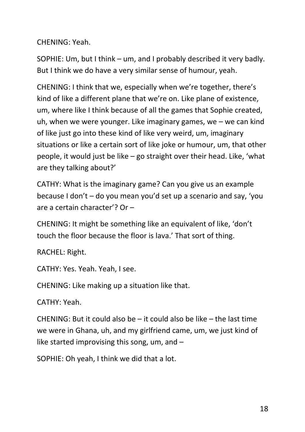CHENING: Yeah.

SOPHIE: Um, but I think – um, and I probably described it very badly. But I think we do have a very similar sense of humour, yeah.

CHENING: I think that we, especially when we're together, there's kind of like a different plane that we're on. Like plane of existence, um, where like I think because of all the games that Sophie created, uh, when we were younger. Like imaginary games, we – we can kind of like just go into these kind of like very weird, um, imaginary situations or like a certain sort of like joke or humour, um, that other people, it would just be like – go straight over their head. Like, 'what are they talking about?'

CATHY: What is the imaginary game? Can you give us an example because I don't – do you mean you'd set up a scenario and say, 'you are a certain character'? Or –

CHENING: It might be something like an equivalent of like, 'don't touch the floor because the floor is lava.' That sort of thing.

RACHEL: Right.

CATHY: Yes. Yeah. Yeah, I see.

CHENING: Like making up a situation like that.

CATHY: Yeah.

CHENING: But it could also be – it could also be like – the last time we were in Ghana, uh, and my girlfriend came, um, we just kind of like started improvising this song, um, and –

SOPHIE: Oh yeah, I think we did that a lot.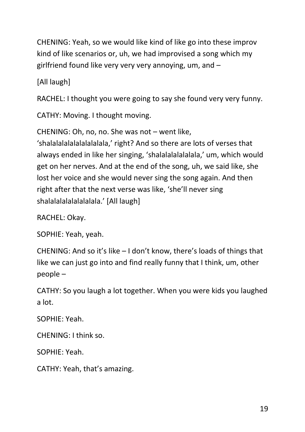CHENING: Yeah, so we would like kind of like go into these improv kind of like scenarios or, uh, we had improvised a song which my girlfriend found like very very very annoying, um, and –

[All laugh]

RACHEL: I thought you were going to say she found very very funny.

CATHY: Moving. I thought moving.

CHENING: Oh, no, no. She was not – went like,

'shalalalalalalalalalala,' right? And so there are lots of verses that always ended in like her singing, 'shalalalalalalala,' um, which would get on her nerves. And at the end of the song, uh, we said like, she lost her voice and she would never sing the song again. And then right after that the next verse was like, 'she'll never sing shalalalalalalalalala.' [All laugh]

RACHEL: Okay.

SOPHIE: Yeah, yeah.

CHENING: And so it's like – I don't know, there's loads of things that like we can just go into and find really funny that I think, um, other people –

CATHY: So you laugh a lot together. When you were kids you laughed a lot.

SOPHIE: Yeah.

CHENING: I think so.

SOPHIE: Yeah.

CATHY: Yeah, that's amazing.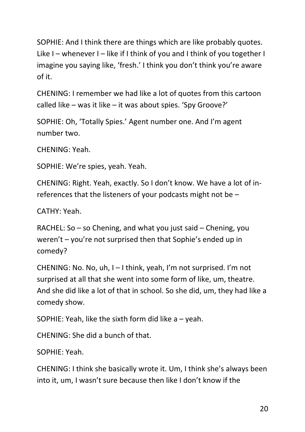SOPHIE: And I think there are things which are like probably quotes. Like I – whenever I – like if I think of you and I think of you together I imagine you saying like, 'fresh.' I think you don't think you're aware of it.

CHENING: I remember we had like a lot of quotes from this cartoon called like – was it like – it was about spies. 'Spy Groove?'

SOPHIE: Oh, 'Totally Spies.' Agent number one. And I'm agent number two.

CHENING: Yeah.

SOPHIE: We're spies, yeah. Yeah.

CHENING: Right. Yeah, exactly. So I don't know. We have a lot of inreferences that the listeners of your podcasts might not be –

CATHY: Yeah.

RACHEL: So – so Chening, and what you just said – Chening, you weren't – you're not surprised then that Sophie's ended up in comedy?

CHENING: No. No, uh, I – I think, yeah, I'm not surprised. I'm not surprised at all that she went into some form of like, um, theatre. And she did like a lot of that in school. So she did, um, they had like a comedy show.

SOPHIE: Yeah, like the sixth form did like  $a - y$ eah.

CHENING: She did a bunch of that.

SOPHIE: Yeah.

CHENING: I think she basically wrote it. Um, I think she's always been into it, um, I wasn't sure because then like I don't know if the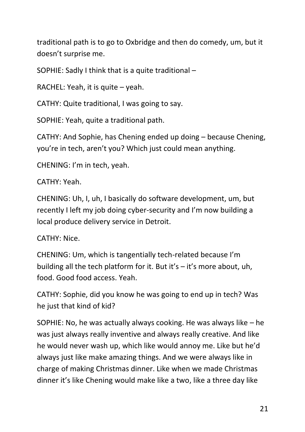traditional path is to go to Oxbridge and then do comedy, um, but it doesn't surprise me.

SOPHIE: Sadly I think that is a quite traditional –

RACHEL: Yeah, it is quite – yeah.

CATHY: Quite traditional, I was going to say.

SOPHIE: Yeah, quite a traditional path.

CATHY: And Sophie, has Chening ended up doing – because Chening, you're in tech, aren't you? Which just could mean anything.

CHENING: I'm in tech, yeah.

CATHY: Yeah.

CHENING: Uh, I, uh, I basically do software development, um, but recently I left my job doing cyber-security and I'm now building a local produce delivery service in Detroit.

## CATHY: Nice.

CHENING: Um, which is tangentially tech-related because I'm building all the tech platform for it. But it's – it's more about, uh, food. Good food access. Yeah.

CATHY: Sophie, did you know he was going to end up in tech? Was he just that kind of kid?

SOPHIE: No, he was actually always cooking. He was always like – he was just always really inventive and always really creative. And like he would never wash up, which like would annoy me. Like but he'd always just like make amazing things. And we were always like in charge of making Christmas dinner. Like when we made Christmas dinner it's like Chening would make like a two, like a three day like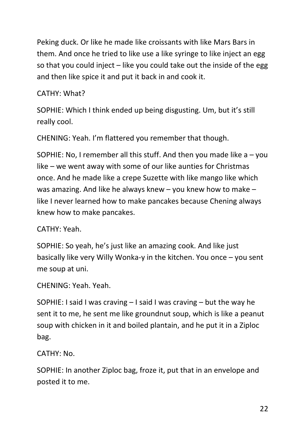Peking duck. Or like he made like croissants with like Mars Bars in them. And once he tried to like use a like syringe to like inject an egg so that you could inject  $-$  like you could take out the inside of the egg and then like spice it and put it back in and cook it.

## CATHY: What?

SOPHIE: Which I think ended up being disgusting. Um, but it's still really cool.

CHENING: Yeah. I'm flattered you remember that though.

SOPHIE: No, I remember all this stuff. And then you made like  $a - y$ ou like – we went away with some of our like aunties for Christmas once. And he made like a crepe Suzette with like mango like which was amazing. And like he always knew – you knew how to make – like I never learned how to make pancakes because Chening always knew how to make pancakes.

## CATHY: Yeah.

SOPHIE: So yeah, he's just like an amazing cook. And like just basically like very Willy Wonka-y in the kitchen. You once – you sent me soup at uni.

CHENING: Yeah. Yeah.

SOPHIE: I said I was craving – I said I was craving – but the way he sent it to me, he sent me like groundnut soup, which is like a peanut soup with chicken in it and boiled plantain, and he put it in a Ziploc bag.

CATHY: No.

SOPHIE: In another Ziploc bag, froze it, put that in an envelope and posted it to me.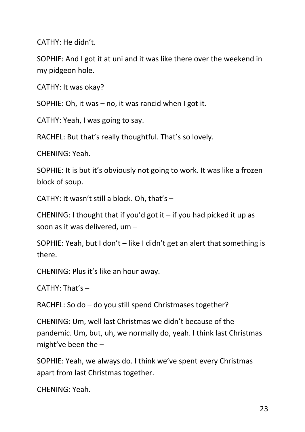CATHY: He didn't.

SOPHIE: And I got it at uni and it was like there over the weekend in my pidgeon hole.

CATHY: It was okay?

SOPHIE: Oh, it was – no, it was rancid when I got it.

CATHY: Yeah, I was going to say.

RACHEL: But that's really thoughtful. That's so lovely.

CHENING: Yeah.

SOPHIE: It is but it's obviously not going to work. It was like a frozen block of soup.

CATHY: It wasn't still a block. Oh, that's –

CHENING: I thought that if you'd got it  $-$  if you had picked it up as soon as it was delivered, um –

SOPHIE: Yeah, but I don't – like I didn't get an alert that something is there.

CHENING: Plus it's like an hour away.

CATHY: That's –

RACHEL: So do – do you still spend Christmases together?

CHENING: Um, well last Christmas we didn't because of the pandemic. Um, but, uh, we normally do, yeah. I think last Christmas might've been the –

SOPHIE: Yeah, we always do. I think we've spent every Christmas apart from last Christmas together.

CHENING: Yeah.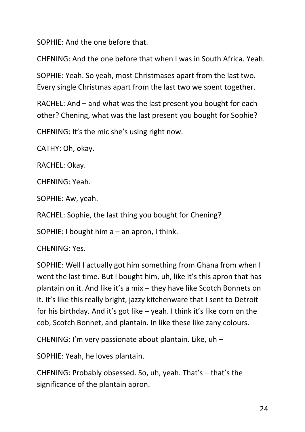SOPHIE: And the one before that.

CHENING: And the one before that when I was in South Africa. Yeah.

SOPHIE: Yeah. So yeah, most Christmases apart from the last two. Every single Christmas apart from the last two we spent together.

RACHEL: And – and what was the last present you bought for each other? Chening, what was the last present you bought for Sophie?

CHENING: It's the mic she's using right now.

CATHY: Oh, okay.

RACHEL: Okay.

CHENING: Yeah.

SOPHIE: Aw, yeah.

RACHEL: Sophie, the last thing you bought for Chening?

SOPHIE: I bought him a – an apron, I think.

CHENING: Yes.

SOPHIE: Well I actually got him something from Ghana from when I went the last time. But I bought him, uh, like it's this apron that has plantain on it. And like it's a mix – they have like Scotch Bonnets on it. It's like this really bright, jazzy kitchenware that I sent to Detroit for his birthday. And it's got like – yeah. I think it's like corn on the cob, Scotch Bonnet, and plantain. In like these like zany colours.

CHENING: I'm very passionate about plantain. Like, uh –

SOPHIE: Yeah, he loves plantain.

CHENING: Probably obsessed. So, uh, yeah. That's – that's the significance of the plantain apron.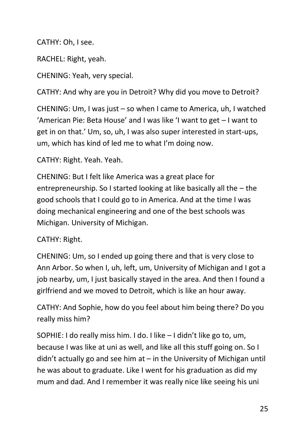CATHY: Oh, I see.

RACHEL: Right, yeah.

CHENING: Yeah, very special.

CATHY: And why are you in Detroit? Why did you move to Detroit?

CHENING: Um, I was just – so when I came to America, uh, I watched 'American Pie: Beta House' and I was like 'I want to get – I want to get in on that.' Um, so, uh, I was also super interested in start-ups, um, which has kind of led me to what I'm doing now.

CATHY: Right. Yeah. Yeah.

CHENING: But I felt like America was a great place for entrepreneurship. So I started looking at like basically all the – the good schools that I could go to in America. And at the time I was doing mechanical engineering and one of the best schools was Michigan. University of Michigan.

## CATHY: Right.

CHENING: Um, so I ended up going there and that is very close to Ann Arbor. So when I, uh, left, um, University of Michigan and I got a job nearby, um, I just basically stayed in the area. And then I found a girlfriend and we moved to Detroit, which is like an hour away.

CATHY: And Sophie, how do you feel about him being there? Do you really miss him?

SOPHIE: I do really miss him. I do. I like – I didn't like go to, um, because I was like at uni as well, and like all this stuff going on. So I didn't actually go and see him at  $-$  in the University of Michigan until he was about to graduate. Like I went for his graduation as did my mum and dad. And I remember it was really nice like seeing his uni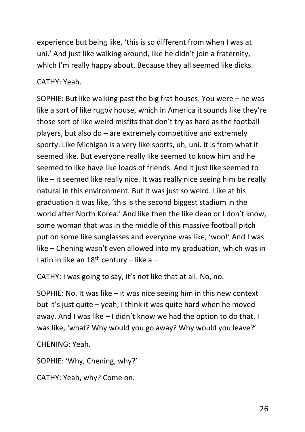experience but being like, 'this is so different from when I was at uni.' And just like walking around, like he didn't join a fraternity, which I'm really happy about. Because they all seemed like dicks.

CATHY: Yeah.

SOPHIE: But like walking past the big frat houses. You were – he was like a sort of like rugby house, which in America it sounds like they're those sort of like weird misfits that don't try as hard as the football players, but also do – are extremely competitive and extremely sporty. Like Michigan is a very like sports, uh, uni. It is from what it seemed like. But everyone really like seemed to know him and he seemed to like have like loads of friends. And it just like seemed to like – it seemed like really nice. It was really nice seeing him be really natural in this environment. But it was just so weird. Like at his graduation it was like, 'this is the second biggest stadium in the world after North Korea.' And like then the like dean or I don't know, some woman that was in the middle of this massive football pitch put on some like sunglasses and everyone was like, 'woo!' And I was like – Chening wasn't even allowed into my graduation, which was in Latin in like an  $18<sup>th</sup>$  century – like a –

CATHY: I was going to say, it's not like that at all. No, no.

SOPHIE: No. It was like – it was nice seeing him in this new context but it's just quite – yeah, I think it was quite hard when he moved away. And I was like – I didn't know we had the option to do that. I was like, 'what? Why would you go away? Why would you leave?'

CHENING: Yeah.

SOPHIE: 'Why, Chening, why?'

CATHY: Yeah, why? Come on.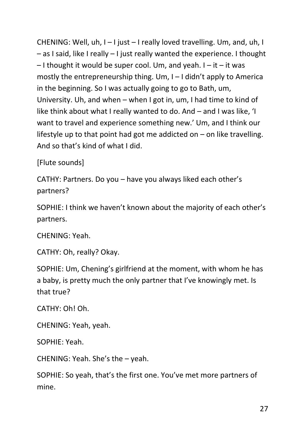CHENING: Well, uh, I – I just – I really loved travelling. Um, and, uh, I – as I said, like I really – I just really wanted the experience. I thought  $-1$  thought it would be super cool. Um, and yeah.  $I - it - it$  was mostly the entrepreneurship thing. Um, I – I didn't apply to America in the beginning. So I was actually going to go to Bath, um, University. Uh, and when – when I got in, um, I had time to kind of like think about what I really wanted to do. And – and I was like, 'I want to travel and experience something new.' Um, and I think our lifestyle up to that point had got me addicted on – on like travelling. And so that's kind of what I did.

[Flute sounds]

CATHY: Partners. Do you – have you always liked each other's partners?

SOPHIE: I think we haven't known about the majority of each other's partners.

CHENING: Yeah.

CATHY: Oh, really? Okay.

SOPHIE: Um, Chening's girlfriend at the moment, with whom he has a baby, is pretty much the only partner that I've knowingly met. Is that true?

CATHY: Oh! Oh.

CHENING: Yeah, yeah.

SOPHIE: Yeah.

CHENING: Yeah. She's the – yeah.

SOPHIE: So yeah, that's the first one. You've met more partners of mine.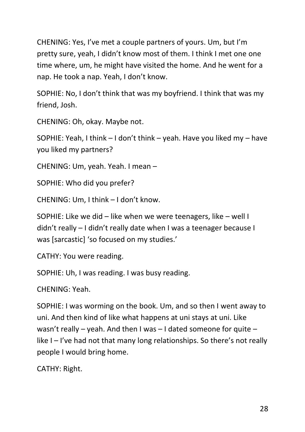CHENING: Yes, I've met a couple partners of yours. Um, but I'm pretty sure, yeah, I didn't know most of them. I think I met one one time where, um, he might have visited the home. And he went for a nap. He took a nap. Yeah, I don't know.

SOPHIE: No, I don't think that was my boyfriend. I think that was my friend, Josh.

CHENING: Oh, okay. Maybe not.

SOPHIE: Yeah, I think – I don't think – yeah. Have you liked my – have you liked my partners?

CHENING: Um, yeah. Yeah. I mean –

SOPHIE: Who did you prefer?

CHENING: Um, I think – I don't know.

SOPHIE: Like we did – like when we were teenagers, like – well I didn't really – I didn't really date when I was a teenager because I was [sarcastic] 'so focused on my studies.'

CATHY: You were reading.

SOPHIE: Uh, I was reading. I was busy reading.

CHENING: Yeah.

SOPHIE: I was worming on the book. Um, and so then I went away to uni. And then kind of like what happens at uni stays at uni. Like wasn't really – yeah. And then I was  $-$  I dated someone for quite – like I – I've had not that many long relationships. So there's not really people I would bring home.

CATHY: Right.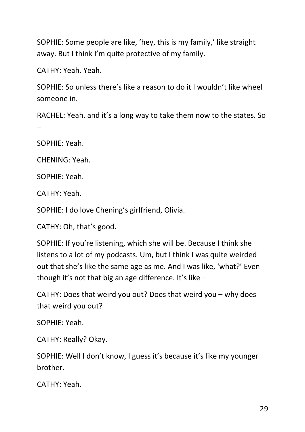SOPHIE: Some people are like, 'hey, this is my family,' like straight away. But I think I'm quite protective of my family.

CATHY: Yeah. Yeah.

SOPHIE: So unless there's like a reason to do it I wouldn't like wheel someone in.

RACHEL: Yeah, and it's a long way to take them now to the states. So –

SOPHIE: Yeah.

CHENING: Yeah.

SOPHIE: Yeah.

CATHY: Yeah.

SOPHIE: I do love Chening's girlfriend, Olivia.

CATHY: Oh, that's good.

SOPHIE: If you're listening, which she will be. Because I think she listens to a lot of my podcasts. Um, but I think I was quite weirded out that she's like the same age as me. And I was like, 'what?' Even though it's not that big an age difference. It's like  $-$ 

CATHY: Does that weird you out? Does that weird you – why does that weird you out?

SOPHIE: Yeah.

CATHY: Really? Okay.

SOPHIE: Well I don't know, I guess it's because it's like my younger brother.

CATHY: Yeah.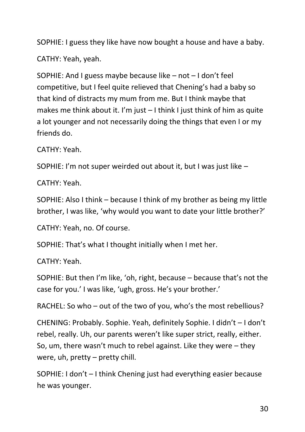SOPHIE: I guess they like have now bought a house and have a baby.

CATHY: Yeah, yeah.

SOPHIE: And I guess maybe because like – not – I don't feel competitive, but I feel quite relieved that Chening's had a baby so that kind of distracts my mum from me. But I think maybe that makes me think about it. I'm just – I think I just think of him as quite a lot younger and not necessarily doing the things that even I or my friends do.

CATHY: Yeah.

SOPHIE: I'm not super weirded out about it, but I was just like –

CATHY: Yeah.

SOPHIE: Also I think – because I think of my brother as being my little brother, I was like, 'why would you want to date your little brother?'

CATHY: Yeah, no. Of course.

SOPHIE: That's what I thought initially when I met her.

CATHY: Yeah.

SOPHIE: But then I'm like, 'oh, right, because – because that's not the case for you.' I was like, 'ugh, gross. He's your brother.'

RACHEL: So who – out of the two of you, who's the most rebellious?

CHENING: Probably. Sophie. Yeah, definitely Sophie. I didn't – I don't rebel, really. Uh, our parents weren't like super strict, really, either. So, um, there wasn't much to rebel against. Like they were – they were, uh, pretty – pretty chill.

SOPHIE: I don't – I think Chening just had everything easier because he was younger.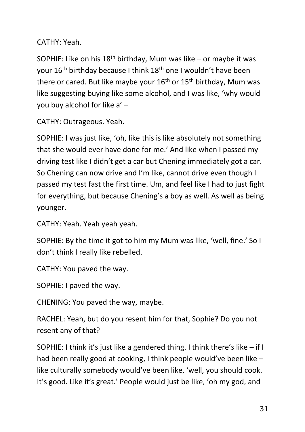CATHY: Yeah.

SOPHIE: Like on his  $18<sup>th</sup>$  birthday, Mum was like – or maybe it was your 16th birthday because I think 18th one I wouldn't have been there or cared. But like maybe your  $16<sup>th</sup>$  or  $15<sup>th</sup>$  birthday, Mum was like suggesting buying like some alcohol, and I was like, 'why would you buy alcohol for like a' –

CATHY: Outrageous. Yeah.

SOPHIE: I was just like, 'oh, like this is like absolutely not something that she would ever have done for me.' And like when I passed my driving test like I didn't get a car but Chening immediately got a car. So Chening can now drive and I'm like, cannot drive even though I passed my test fast the first time. Um, and feel like I had to just fight for everything, but because Chening's a boy as well. As well as being younger.

CATHY: Yeah. Yeah yeah yeah.

SOPHIE: By the time it got to him my Mum was like, 'well, fine.' So I don't think I really like rebelled.

CATHY: You paved the way.

SOPHIE: I paved the way.

CHENING: You paved the way, maybe.

RACHEL: Yeah, but do you resent him for that, Sophie? Do you not resent any of that?

SOPHIE: I think it's just like a gendered thing. I think there's like – if I had been really good at cooking, I think people would've been like – like culturally somebody would've been like, 'well, you should cook. It's good. Like it's great.' People would just be like, 'oh my god, and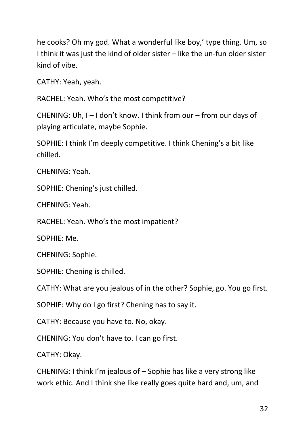he cooks? Oh my god. What a wonderful like boy,' type thing. Um, so I think it was just the kind of older sister – like the un-fun older sister kind of vibe.

CATHY: Yeah, yeah.

RACHEL: Yeah. Who's the most competitive?

CHENING: Uh, I – I don't know. I think from our – from our days of playing articulate, maybe Sophie.

SOPHIE: I think I'm deeply competitive. I think Chening's a bit like chilled.

CHENING: Yeah.

SOPHIE: Chening's just chilled.

CHENING: Yeah.

RACHEL: Yeah. Who's the most impatient?

SOPHIE: Me.

CHENING: Sophie.

SOPHIE: Chening is chilled.

CATHY: What are you jealous of in the other? Sophie, go. You go first.

SOPHIE: Why do I go first? Chening has to say it.

CATHY: Because you have to. No, okay.

CHENING: You don't have to. I can go first.

CATHY: Okay.

CHENING: I think I'm jealous of – Sophie has like a very strong like work ethic. And I think she like really goes quite hard and, um, and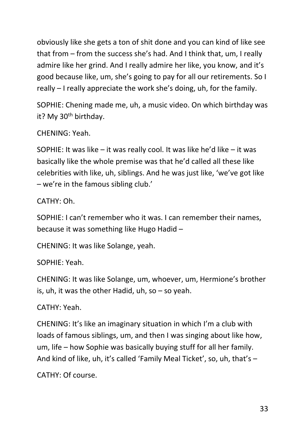obviously like she gets a ton of shit done and you can kind of like see that from – from the success she's had. And I think that, um, I really admire like her grind. And I really admire her like, you know, and it's good because like, um, she's going to pay for all our retirements. So I really – I really appreciate the work she's doing, uh, for the family.

SOPHIE: Chening made me, uh, a music video. On which birthday was it? My 30<sup>th</sup> birthday.

CHENING: Yeah.

SOPHIE: It was like – it was really cool. It was like he'd like – it was basically like the whole premise was that he'd called all these like celebrities with like, uh, siblings. And he was just like, 'we've got like – we're in the famous sibling club.'

CATHY: Oh.

SOPHIE: I can't remember who it was. I can remember their names, because it was something like Hugo Hadid –

CHENING: It was like Solange, yeah.

SOPHIE: Yeah.

CHENING: It was like Solange, um, whoever, um, Hermione's brother is, uh, it was the other Hadid, uh, so  $-$  so yeah.

CATHY: Yeah.

CHENING: It's like an imaginary situation in which I'm a club with loads of famous siblings, um, and then I was singing about like how, um, life – how Sophie was basically buying stuff for all her family. And kind of like, uh, it's called 'Family Meal Ticket', so, uh, that's –

CATHY: Of course.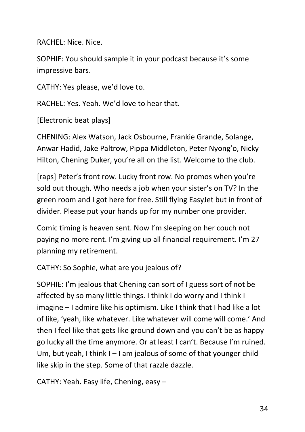RACHEL: Nice. Nice.

SOPHIE: You should sample it in your podcast because it's some impressive bars.

CATHY: Yes please, we'd love to.

RACHEL: Yes. Yeah. We'd love to hear that.

[Electronic beat plays]

CHENING: Alex Watson, Jack Osbourne, Frankie Grande, Solange, Anwar Hadid, Jake Paltrow, Pippa Middleton, Peter Nyong'o, Nicky Hilton, Chening Duker, you're all on the list. Welcome to the club.

[raps] Peter's front row. Lucky front row. No promos when you're sold out though. Who needs a job when your sister's on TV? In the green room and I got here for free. Still flying EasyJet but in front of divider. Please put your hands up for my number one provider.

Comic timing is heaven sent. Now I'm sleeping on her couch not paying no more rent. I'm giving up all financial requirement. I'm 27 planning my retirement.

CATHY: So Sophie, what are you jealous of?

SOPHIE: I'm jealous that Chening can sort of I guess sort of not be affected by so many little things. I think I do worry and I think I imagine – I admire like his optimism. Like I think that I had like a lot of like, 'yeah, like whatever. Like whatever will come will come.' And then I feel like that gets like ground down and you can't be as happy go lucky all the time anymore. Or at least I can't. Because I'm ruined. Um, but yeah, I think I – I am jealous of some of that younger child like skip in the step. Some of that razzle dazzle.

CATHY: Yeah. Easy life, Chening, easy –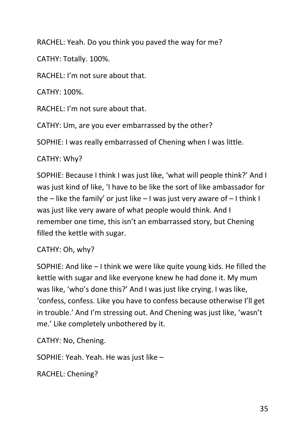RACHEL: Yeah. Do you think you paved the way for me?

CATHY: Totally. 100%.

RACHEL: I'm not sure about that.

CATHY: 100%.

RACHEL: I'm not sure about that.

CATHY: Um, are you ever embarrassed by the other?

SOPHIE: I was really embarrassed of Chening when I was little.

## CATHY: Why?

SOPHIE: Because I think I was just like, 'what will people think?' And I was just kind of like, 'I have to be like the sort of like ambassador for the – like the family' or just like – I was just very aware of – I think I was just like very aware of what people would think. And I remember one time, this isn't an embarrassed story, but Chening filled the kettle with sugar.

CATHY: Oh, why?

SOPHIE: And like – I think we were like quite young kids. He filled the kettle with sugar and like everyone knew he had done it. My mum was like, 'who's done this?' And I was just like crying. I was like, 'confess, confess. Like you have to confess because otherwise I'll get in trouble.' And I'm stressing out. And Chening was just like, 'wasn't me.' Like completely unbothered by it.

CATHY: No, Chening.

SOPHIE: Yeah. Yeah. He was just like –

RACHEL: Chening?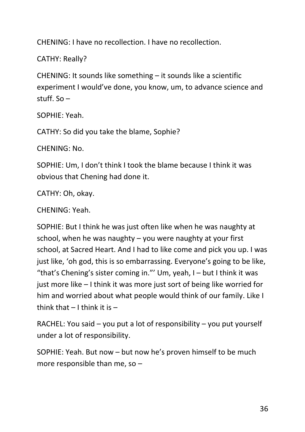CHENING: I have no recollection. I have no recollection.

CATHY: Really?

CHENING: It sounds like something – it sounds like a scientific experiment I would've done, you know, um, to advance science and stuff. So –

SOPHIE: Yeah.

CATHY: So did you take the blame, Sophie?

CHENING: No.

SOPHIE: Um, I don't think I took the blame because I think it was obvious that Chening had done it.

CATHY: Oh, okay.

CHENING: Yeah.

SOPHIE: But I think he was just often like when he was naughty at school, when he was naughty – you were naughty at your first school, at Sacred Heart. And I had to like come and pick you up. I was just like, 'oh god, this is so embarrassing. Everyone's going to be like, "that's Chening's sister coming in."' Um, yeah,  $I -$  but I think it was just more like – I think it was more just sort of being like worried for him and worried about what people would think of our family. Like I think that  $-1$  think it is  $-$ 

RACHEL: You said – you put a lot of responsibility – you put yourself under a lot of responsibility.

SOPHIE: Yeah. But now – but now he's proven himself to be much more responsible than me, so –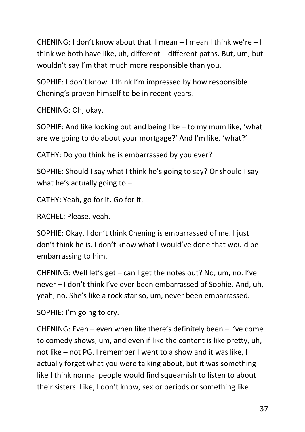CHENING: I don't know about that. I mean – I mean I think we're – I think we both have like, uh, different – different paths. But, um, but I wouldn't say I'm that much more responsible than you.

SOPHIE: I don't know. I think I'm impressed by how responsible Chening's proven himself to be in recent years.

CHENING: Oh, okay.

SOPHIE: And like looking out and being like – to my mum like, 'what are we going to do about your mortgage?' And I'm like, 'what?'

CATHY: Do you think he is embarrassed by you ever?

SOPHIE: Should I say what I think he's going to say? Or should I say what he's actually going to  $-$ 

CATHY: Yeah, go for it. Go for it.

RACHEL: Please, yeah.

SOPHIE: Okay. I don't think Chening is embarrassed of me. I just don't think he is. I don't know what I would've done that would be embarrassing to him.

CHENING: Well let's get – can I get the notes out? No, um, no. I've never – I don't think I've ever been embarrassed of Sophie. And, uh, yeah, no. She's like a rock star so, um, never been embarrassed.

SOPHIE: I'm going to cry.

CHENING: Even – even when like there's definitely been – I've come to comedy shows, um, and even if like the content is like pretty, uh, not like – not PG. I remember I went to a show and it was like, I actually forget what you were talking about, but it was something like I think normal people would find squeamish to listen to about their sisters. Like, I don't know, sex or periods or something like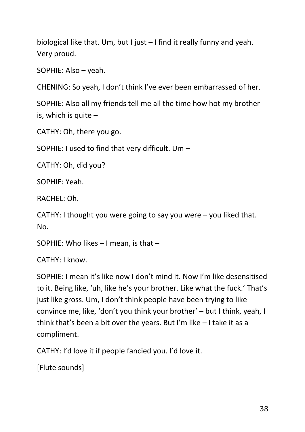biological like that. Um, but I just – I find it really funny and yeah. Very proud.

SOPHIE: Also – yeah.

CHENING: So yeah, I don't think I've ever been embarrassed of her.

SOPHIE: Also all my friends tell me all the time how hot my brother is, which is quite  $-$ 

CATHY: Oh, there you go.

SOPHIE: I used to find that very difficult. Um –

CATHY: Oh, did you?

SOPHIE: Yeah.

RACHEL: Oh.

CATHY: I thought you were going to say you were – you liked that. No.

SOPHIE: Who likes – I mean, is that –

CATHY: I know.

SOPHIE: I mean it's like now I don't mind it. Now I'm like desensitised to it. Being like, 'uh, like he's your brother. Like what the fuck.' That's just like gross. Um, I don't think people have been trying to like convince me, like, 'don't you think your brother' – but I think, yeah, I think that's been a bit over the years. But I'm like – I take it as a compliment.

CATHY: I'd love it if people fancied you. I'd love it.

[Flute sounds]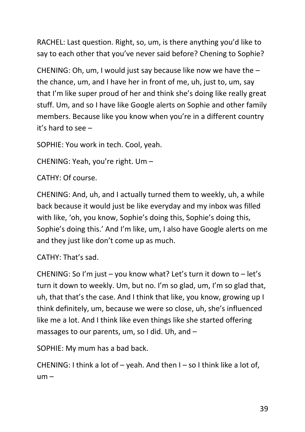RACHEL: Last question. Right, so, um, is there anything you'd like to say to each other that you've never said before? Chening to Sophie?

CHENING: Oh, um, I would just say because like now we have the – the chance, um, and I have her in front of me, uh, just to, um, say that I'm like super proud of her and think she's doing like really great stuff. Um, and so I have like Google alerts on Sophie and other family members. Because like you know when you're in a different country it's hard to see –

SOPHIE: You work in tech. Cool, yeah.

CHENING: Yeah, you're right. Um –

CATHY: Of course.

CHENING: And, uh, and I actually turned them to weekly, uh, a while back because it would just be like everyday and my inbox was filled with like, 'oh, you know, Sophie's doing this, Sophie's doing this, Sophie's doing this.' And I'm like, um, I also have Google alerts on me and they just like don't come up as much.

CATHY: That's sad.

CHENING: So I'm just – you know what? Let's turn it down to – let's turn it down to weekly. Um, but no. I'm so glad, um, I'm so glad that, uh, that that's the case. And I think that like, you know, growing up I think definitely, um, because we were so close, uh, she's influenced like me a lot. And I think like even things like she started offering massages to our parents, um, so I did. Uh, and –

SOPHIE: My mum has a bad back.

CHENING: I think a lot of – yeah. And then I – so I think like a lot of,  $um -$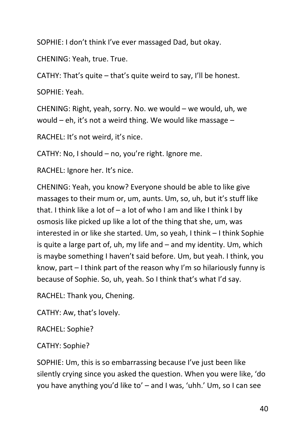SOPHIE: I don't think I've ever massaged Dad, but okay.

CHENING: Yeah, true. True.

CATHY: That's quite – that's quite weird to say, I'll be honest.

SOPHIE: Yeah.

CHENING: Right, yeah, sorry. No. we would – we would, uh, we would – eh, it's not a weird thing. We would like massage –

RACHEL: It's not weird, it's nice.

CATHY: No, I should – no, you're right. Ignore me.

RACHEL: Ignore her. It's nice.

CHENING: Yeah, you know? Everyone should be able to like give massages to their mum or, um, aunts. Um, so, uh, but it's stuff like that. I think like a lot of  $-$  a lot of who I am and like I think I by osmosis like picked up like a lot of the thing that she, um, was interested in or like she started. Um, so yeah, I think – I think Sophie is quite a large part of,  $uh$ , my life and  $-$  and my identity. Um, which is maybe something I haven't said before. Um, but yeah. I think, you know, part – I think part of the reason why I'm so hilariously funny is because of Sophie. So, uh, yeah. So I think that's what I'd say.

RACHEL: Thank you, Chening.

CATHY: Aw, that's lovely.

RACHEL: Sophie?

CATHY: Sophie?

SOPHIE: Um, this is so embarrassing because I've just been like silently crying since you asked the question. When you were like, 'do you have anything you'd like to' – and I was, 'uhh.' Um, so I can see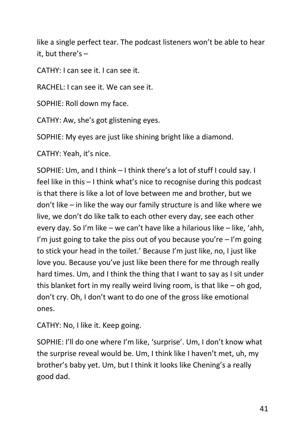like a single perfect tear. The podcast listeners won't be able to hear it, but there's –

CATHY: I can see it. I can see it.

RACHEL: I can see it. We can see it.

SOPHIE: Roll down my face.

CATHY: Aw, she's got glistening eyes.

SOPHIE: My eyes are just like shining bright like a diamond.

CATHY: Yeah, it's nice.

SOPHIE: Um, and I think – I think there's a lot of stuff I could say. I feel like in this – I think what's nice to recognise during this podcast is that there is like a lot of love between me and brother, but we don't like – in like the way our family structure is and like where we live, we don't do like talk to each other every day, see each other every day. So I'm like – we can't have like a hilarious like – like, 'ahh, I'm just going to take the piss out of you because you're  $-1$ 'm going to stick your head in the toilet.' Because I'm just like, no, I just like love you. Because you've just like been there for me through really hard times. Um, and I think the thing that I want to say as I sit under this blanket fort in my really weird living room, is that like – oh god, don't cry. Oh, I don't want to do one of the gross like emotional ones.

CATHY: No, I like it. Keep going.

SOPHIE: I'll do one where I'm like, 'surprise'. Um, I don't know what the surprise reveal would be. Um, I think like I haven't met, uh, my brother's baby yet. Um, but I think it looks like Chening's a really good dad.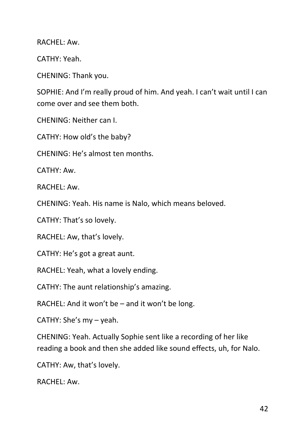RACHEL: Aw.

CATHY: Yeah.

CHENING: Thank you.

SOPHIE: And I'm really proud of him. And yeah. I can't wait until I can come over and see them both.

CHENING: Neither can I.

CATHY: How old's the baby?

CHENING: He's almost ten months.

CATHY: Aw.

RACHEL: Aw.

CHENING: Yeah. His name is Nalo, which means beloved.

CATHY: That's so lovely.

RACHEL: Aw, that's lovely.

CATHY: He's got a great aunt.

RACHEL: Yeah, what a lovely ending.

CATHY: The aunt relationship's amazing.

RACHEL: And it won't be – and it won't be long.

CATHY: She's my – yeah.

CHENING: Yeah. Actually Sophie sent like a recording of her like reading a book and then she added like sound effects, uh, for Nalo.

CATHY: Aw, that's lovely.

RACHEL: Aw.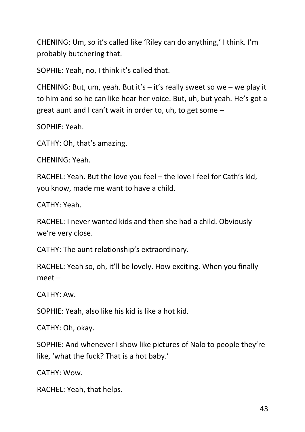CHENING: Um, so it's called like 'Riley can do anything,' I think. I'm probably butchering that.

SOPHIE: Yeah, no, I think it's called that.

CHENING: But, um, yeah. But it's – it's really sweet so we – we play it to him and so he can like hear her voice. But, uh, but yeah. He's got a great aunt and I can't wait in order to, uh, to get some –

SOPHIE: Yeah.

CATHY: Oh, that's amazing.

CHENING: Yeah.

RACHEL: Yeah. But the love you feel – the love I feel for Cath's kid, you know, made me want to have a child.

CATHY: Yeah.

RACHEL: I never wanted kids and then she had a child. Obviously we're very close.

CATHY: The aunt relationship's extraordinary.

RACHEL: Yeah so, oh, it'll be lovely. How exciting. When you finally meet –

CATHY: Aw.

SOPHIE: Yeah, also like his kid is like a hot kid.

CATHY: Oh, okay.

SOPHIE: And whenever I show like pictures of Nalo to people they're like, 'what the fuck? That is a hot baby.'

CATHY: Wow.

RACHEL: Yeah, that helps.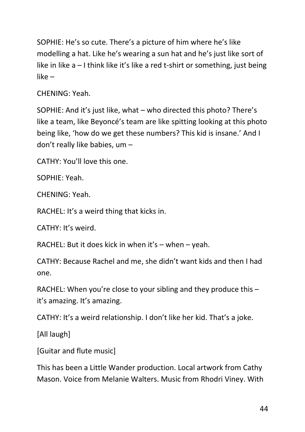SOPHIE: He's so cute. There's a picture of him where he's like modelling a hat. Like he's wearing a sun hat and he's just like sort of like in like a – I think like it's like a red t-shirt or something, just being like –

CHENING: Yeah.

SOPHIE: And it's just like, what – who directed this photo? There's like a team, like Beyoncé's team are like spitting looking at this photo being like, 'how do we get these numbers? This kid is insane.' And I don't really like babies, um –

CATHY: You'll love this one.

SOPHIE: Yeah.

CHENING: Yeah.

RACHEL: It's a weird thing that kicks in.

CATHY: It's weird.

RACHEL: But it does kick in when it's – when – yeah.

CATHY: Because Rachel and me, she didn't want kids and then I had one.

RACHEL: When you're close to your sibling and they produce this  $$ it's amazing. It's amazing.

CATHY: It's a weird relationship. I don't like her kid. That's a joke.

[All laugh]

[Guitar and flute music]

This has been a Little Wander production. Local artwork from Cathy Mason. Voice from Melanie Walters. Music from Rhodri Viney. With